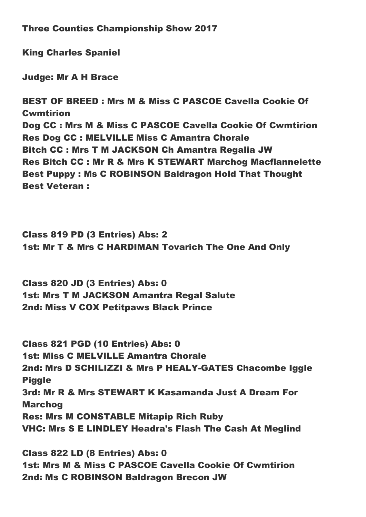King Charles Spaniel

Judge: Mr A H Brace

BEST OF BREED : Mrs M & Miss C PASCOE Cavella Cookie Of Cwmtirion Dog CC : Mrs M & Miss C PASCOE Cavella Cookie Of Cwmtirion Res Dog CC : MELVILLE Miss C Amantra Chorale Bitch CC : Mrs T M JACKSON Ch Amantra Regalia JW Res Bitch CC : Mr R & Mrs K STEWART Marchog Macflannelette Best Puppy : Ms C ROBINSON Baldragon Hold That Thought Best Veteran :

Class 819 PD (3 Entries) Abs: 2 1st: Mr T & Mrs C HARDIMAN Tovarich The One And Only

Class 820 JD (3 Entries) Abs: 0 1st: Mrs T M JACKSON Amantra Regal Salute 2nd: Miss V COX Petitpaws Black Prince

Class 821 PGD (10 Entries) Abs: 0 1st: Miss C MELVILLE Amantra Chorale 2nd: Mrs D SCHILIZZI & Mrs P HEALY-GATES Chacombe Iggle **Piggle** 3rd: Mr R & Mrs STEWART K Kasamanda Just A Dream For Marchog Res: Mrs M CONSTABLE Mitapip Rich Ruby VHC: Mrs S E LINDLEY Headra's Flash The Cash At Meglind

Class 822 LD (8 Entries) Abs: 0 1st: Mrs M & Miss C PASCOE Cavella Cookie Of Cwmtirion 2nd: Ms C ROBINSON Baldragon Brecon JW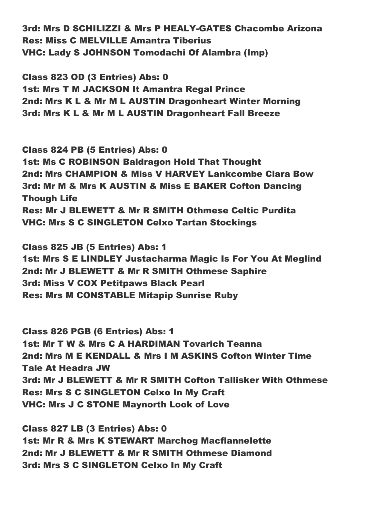3rd: Mrs D SCHILIZZI & Mrs P HEALY-GATES Chacombe Arizona Res: Miss C MELVILLE Amantra Tiberius VHC: Lady S JOHNSON Tomodachi Of Alambra (Imp)

Class 823 OD (3 Entries) Abs: 0 1st: Mrs T M JACKSON It Amantra Regal Prince 2nd: Mrs K L & Mr M L AUSTIN Dragonheart Winter Morning 3rd: Mrs K L & Mr M L AUSTIN Dragonheart Fall Breeze

Class 824 PB (5 Entries) Abs: 0 1st: Ms C ROBINSON Baldragon Hold That Thought 2nd: Mrs CHAMPION & Miss V HARVEY Lankcombe Clara Bow 3rd: Mr M & Mrs K AUSTIN & Miss E BAKER Cofton Dancing Though Life Res: Mr J BLEWETT & Mr R SMITH Othmese Celtic Purdita VHC: Mrs S C SINGLETON Celxo Tartan Stockings

Class 825 JB (5 Entries) Abs: 1 1st: Mrs S E LINDLEY Justacharma Magic Is For You At Meglind 2nd: Mr J BLEWETT & Mr R SMITH Othmese Saphire 3rd: Miss V COX Petitpaws Black Pearl Res: Mrs M CONSTABLE Mitapip Sunrise Ruby

Class 826 PGB (6 Entries) Abs: 1 1st: Mr T W & Mrs C A HARDIMAN Tovarich Teanna 2nd: Mrs M E KENDALL & Mrs I M ASKINS Cofton Winter Time Tale At Headra JW 3rd: Mr J BLEWETT & Mr R SMITH Cofton Tallisker With Othmese Res: Mrs S C SINGLETON Celxo In My Craft VHC: Mrs J C STONE Maynorth Look of Love

Class 827 LB (3 Entries) Abs: 0 1st: Mr R & Mrs K STEWART Marchog Macflannelette 2nd: Mr J BLEWETT & Mr R SMITH Othmese Diamond 3rd: Mrs S C SINGLETON Celxo In My Craft